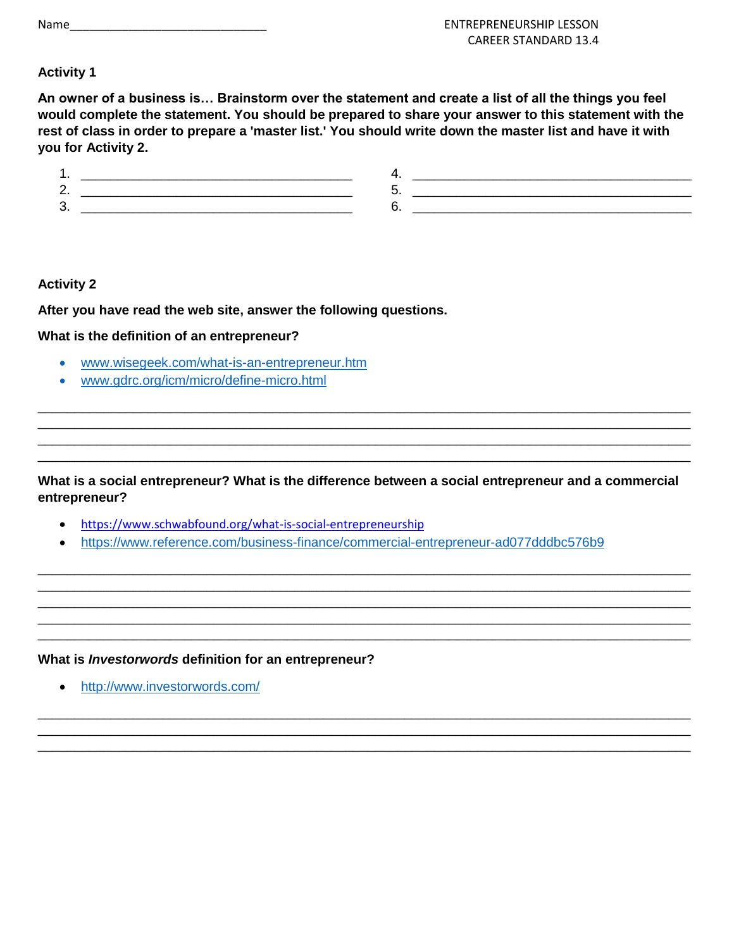| Name |  |
|------|--|
|------|--|

# **Activity 1**

**An owner of a business is… Brainstorm over the statement and create a list of all the things you feel would complete the statement. You should be prepared to share your answer to this statement with the rest of class in order to prepare a 'master list.' You should write down the master list and have it with you for Activity 2.**

| -  |  |
|----|--|
| J. |  |

## **Activity 2**

**After you have read the web site, answer the following questions.**

## **What is the definition of an entrepreneur?**

- [www.wisegeek.com/what-is-an-entrepreneur.htm](https://www.wisegeek.com/what-is-an-entrepreneur.htm)
- [www.gdrc.org/icm/micro/define-micro.html](http://www.gdrc.org/icm/micro/define-micro.html)

### **What is a social entrepreneur? What is the difference between a social entrepreneur and a commercial entrepreneur?**

\_\_\_\_\_\_\_\_\_\_\_\_\_\_\_\_\_\_\_\_\_\_\_\_\_\_\_\_\_\_\_\_\_\_\_\_\_\_\_\_\_\_\_\_\_\_\_\_\_\_\_\_\_\_\_\_\_\_\_\_\_\_\_\_\_\_\_\_\_\_\_\_\_\_\_\_\_\_\_\_\_\_\_\_\_\_\_\_\_ \_\_\_\_\_\_\_\_\_\_\_\_\_\_\_\_\_\_\_\_\_\_\_\_\_\_\_\_\_\_\_\_\_\_\_\_\_\_\_\_\_\_\_\_\_\_\_\_\_\_\_\_\_\_\_\_\_\_\_\_\_\_\_\_\_\_\_\_\_\_\_\_\_\_\_\_\_\_\_\_\_\_\_\_\_\_\_\_\_ \_\_\_\_\_\_\_\_\_\_\_\_\_\_\_\_\_\_\_\_\_\_\_\_\_\_\_\_\_\_\_\_\_\_\_\_\_\_\_\_\_\_\_\_\_\_\_\_\_\_\_\_\_\_\_\_\_\_\_\_\_\_\_\_\_\_\_\_\_\_\_\_\_\_\_\_\_\_\_\_\_\_\_\_\_\_\_\_\_ \_\_\_\_\_\_\_\_\_\_\_\_\_\_\_\_\_\_\_\_\_\_\_\_\_\_\_\_\_\_\_\_\_\_\_\_\_\_\_\_\_\_\_\_\_\_\_\_\_\_\_\_\_\_\_\_\_\_\_\_\_\_\_\_\_\_\_\_\_\_\_\_\_\_\_\_\_\_\_\_\_\_\_\_\_\_\_\_\_ \_\_\_\_\_\_\_\_\_\_\_\_\_\_\_\_\_\_\_\_\_\_\_\_\_\_\_\_\_\_\_\_\_\_\_\_\_\_\_\_\_\_\_\_\_\_\_\_\_\_\_\_\_\_\_\_\_\_\_\_\_\_\_\_\_\_\_\_\_\_\_\_\_\_\_\_\_\_\_\_\_\_\_\_\_\_\_\_\_

\_\_\_\_\_\_\_\_\_\_\_\_\_\_\_\_\_\_\_\_\_\_\_\_\_\_\_\_\_\_\_\_\_\_\_\_\_\_\_\_\_\_\_\_\_\_\_\_\_\_\_\_\_\_\_\_\_\_\_\_\_\_\_\_\_\_\_\_\_\_\_\_\_\_\_\_\_\_\_\_\_\_\_\_\_\_\_\_\_ \_\_\_\_\_\_\_\_\_\_\_\_\_\_\_\_\_\_\_\_\_\_\_\_\_\_\_\_\_\_\_\_\_\_\_\_\_\_\_\_\_\_\_\_\_\_\_\_\_\_\_\_\_\_\_\_\_\_\_\_\_\_\_\_\_\_\_\_\_\_\_\_\_\_\_\_\_\_\_\_\_\_\_\_\_\_\_\_\_ \_\_\_\_\_\_\_\_\_\_\_\_\_\_\_\_\_\_\_\_\_\_\_\_\_\_\_\_\_\_\_\_\_\_\_\_\_\_\_\_\_\_\_\_\_\_\_\_\_\_\_\_\_\_\_\_\_\_\_\_\_\_\_\_\_\_\_\_\_\_\_\_\_\_\_\_\_\_\_\_\_\_\_\_\_\_\_\_\_

\_\_\_\_\_\_\_\_\_\_\_\_\_\_\_\_\_\_\_\_\_\_\_\_\_\_\_\_\_\_\_\_\_\_\_\_\_\_\_\_\_\_\_\_\_\_\_\_\_\_\_\_\_\_\_\_\_\_\_\_\_\_\_\_\_\_\_\_\_\_\_\_\_\_\_\_\_\_\_\_\_\_\_\_\_\_\_\_\_ \_\_\_\_\_\_\_\_\_\_\_\_\_\_\_\_\_\_\_\_\_\_\_\_\_\_\_\_\_\_\_\_\_\_\_\_\_\_\_\_\_\_\_\_\_\_\_\_\_\_\_\_\_\_\_\_\_\_\_\_\_\_\_\_\_\_\_\_\_\_\_\_\_\_\_\_\_\_\_\_\_\_\_\_\_\_\_\_\_ \_\_\_\_\_\_\_\_\_\_\_\_\_\_\_\_\_\_\_\_\_\_\_\_\_\_\_\_\_\_\_\_\_\_\_\_\_\_\_\_\_\_\_\_\_\_\_\_\_\_\_\_\_\_\_\_\_\_\_\_\_\_\_\_\_\_\_\_\_\_\_\_\_\_\_\_\_\_\_\_\_\_\_\_\_\_\_\_\_ \_\_\_\_\_\_\_\_\_\_\_\_\_\_\_\_\_\_\_\_\_\_\_\_\_\_\_\_\_\_\_\_\_\_\_\_\_\_\_\_\_\_\_\_\_\_\_\_\_\_\_\_\_\_\_\_\_\_\_\_\_\_\_\_\_\_\_\_\_\_\_\_\_\_\_\_\_\_\_\_\_\_\_\_\_\_\_\_\_

- <https://www.schwabfound.org/what-is-social-entrepreneurship>
- <https://www.reference.com/business-finance/commercial-entrepreneur-ad077dddbc576b9>

### **What is** *Investorwords* **definition for an entrepreneur?**

• <http://www.investorwords.com/>